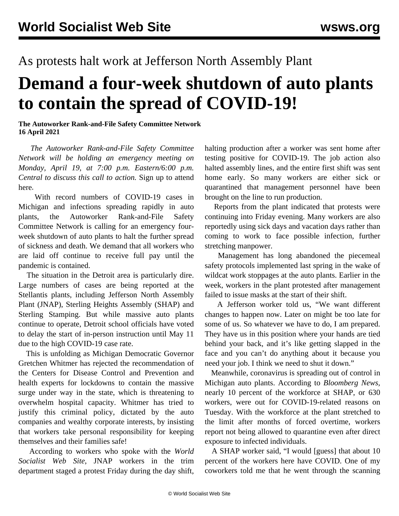## As protests halt work at Jefferson North Assembly Plant

## **Demand a four-week shutdown of auto plants to contain the spread of COVID-19!**

## **The Autoworker Rank-and-File Safety Committee Network 16 April 2021**

 *The Autoworker Rank-and-File Safety Committee Network will be holding an emergency meeting on Monday, April 19, at 7:00 p.m. Eastern/6:00 p.m. Central to discuss this call to action.* [Sign up to attend](https://attendee.gotowebinar.com/register/4090074818080288270) [here](https://attendee.gotowebinar.com/register/4090074818080288270)*.*

 With record numbers of COVID-19 cases in Michigan and infections spreading rapidly in auto plants, the Autoworker Rank-and-File Safety Committee Network is calling for an emergency fourweek shutdown of auto plants to halt the further spread of sickness and death. We demand that all workers who are laid off continue to receive full pay until the pandemic is contained.

 The situation in the Detroit area is particularly dire. Large numbers of cases are being reported at the Stellantis plants, including Jefferson North Assembly Plant (JNAP), Sterling Heights Assembly (SHAP) and Sterling Stamping. But while massive auto plants continue to operate, Detroit school officials have voted to delay the start of in-person instruction until May 11 due to the high COVID-19 case rate.

 This is unfolding as Michigan Democratic Governor Gretchen Whitmer has rejected the recommendation of the Centers for Disease Control and Prevention and health experts for lockdowns to contain the massive surge under way in the state, which is threatening to overwhelm hospital capacity. Whitmer has tried to justify this criminal policy, dictated by the auto companies and wealthy corporate interests, by insisting that workers take personal responsibility for keeping themselves and their families safe!

 According to workers who spoke with the *World Socialist Web Site*, JNAP workers in the trim department staged a protest Friday during the day shift,

halting production after a worker was sent home after testing positive for COVID-19. The job action also halted assembly lines, and the entire first shift was sent home early. So many workers are either sick or quarantined that management personnel have been brought on the line to run production.

 Reports from the plant indicated that protests were continuing into Friday evening. Many workers are also reportedly using sick days and vacation days rather than coming to work to face possible infection, further stretching manpower.

 Management has long abandoned the piecemeal safety protocols implemented last spring in the wake of wildcat work stoppages at the auto plants. Earlier in the week, workers in the plant protested after management failed to issue masks at the start of their shift.

 A Jefferson worker told us, "We want different changes to happen now. Later on might be too late for some of us. So whatever we have to do, I am prepared. They have us in this position where your hands are tied behind your back, and it's like getting slapped in the face and you can't do anything about it because you need your job. I think we need to shut it down."

 Meanwhile, coronavirus is spreading out of control in Michigan auto plants. According to *Bloomberg News,* nearly 10 percent of the workforce at SHAP, or 630 workers, were out for COVID-19-related reasons on Tuesday. With the workforce at the plant stretched to the limit after months of forced overtime, workers report not being allowed to quarantine even after direct exposure to infected individuals.

 A SHAP worker said, "I would [guess] that about 10 percent of the workers here have COVID. One of my coworkers told me that he went through the scanning